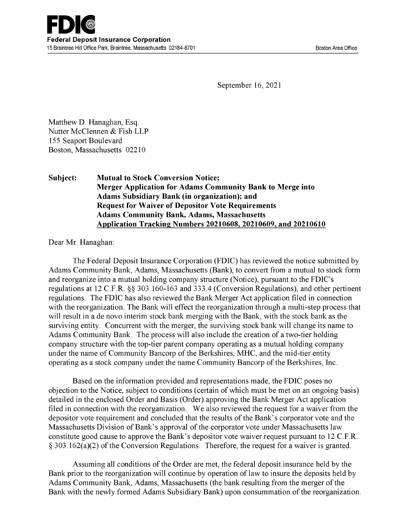September 16, 2021

Matthew D. Hanaghan, Esq. Nutter McClennen & Fish LLP 155 Seaport Boulevard Boston, Massachusetts 02210

#### Subject: Mutual to Stock Conversion Notice; Merger Application for Adams Community Bank to Merge into Adams Subsidiary Bank (in organization); and Request for Waiver of Depositor Vote Requirements Adams Community Bank, Adams, Massachusetts Application Tracking Numbers 20210608, 20210609, and 20210610

Dear Mr. Hanaghan:

The Federal Deposit Insurance Corporation (FDIC) has reviewed the notice submitted by Adams Community Bank, Adams, Massachusetts (Bank), to convert from a mutual to stock form and reorganize into a mutual holding company structure (Notice), pursuant to the FDIC's regulations at 12 C.F.R. §§ 303.160-163 and 333.4 (Conversion Regulations), and other pertinent regulations. The FDIC has also reviewed the Bank Merger Act application filed in connection with the reorganization. The Bank will effect the reorganization through a multi-step process that will result in a de novo interim stock bank merging with the Bank, with the stock bank as the surviving entity. Concurrent with the merger, the surviving stock bank will change its name to Adams Community Bank. The process will also include the creation of a two-tier holding company structure with the top -tier parent company operating as a mutual holding company under the name of Community Bancorp of the Berkshires, MHC, and the mid -tier entity operating as a stock company under the name Community Bancorp of the Berkshires, Inc.

Based on the information provided and representations made, the FDIC poses no objection to the Notice, subject to conditions (certain of which must be met on an ongoing basis) detailed in the enclosed Order and Basis (Order) approving the Bank Merger Act application filed in connection with the reorganization. We also reviewed the request for a waiver from the depositor vote requirement and concluded that the results of the Bank's corporator vote and the Massachusetts Division of Bank's approval of the corporator vote under Massachusetts law constitute good cause to approve the Bank's depositor vote waiver request pursuant to 12 C.F.R. § 303.162(a)(2) of the Conversion Regulations. Therefore, the request for a waiver is granted.

Assuming all conditions of the Order are met, the federal deposit insurance held by the Bank prior to the reorganization will continue by operation of law to insure the deposits held by Adams Community Bank, Adams, Massachusetts (the bank resulting from the merger of the Bank with the newly formed Adams Subsidiary Bank) upon consummation of the reorganization.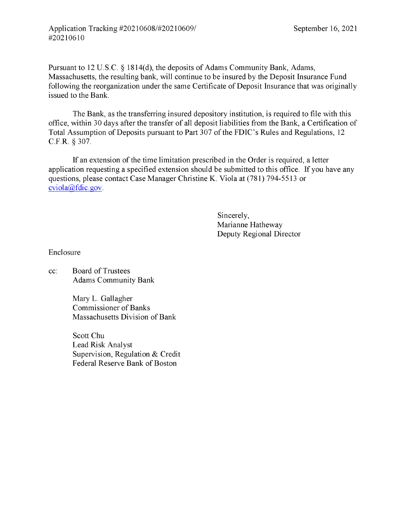Pursuant to 12 U.S.C. § 1814(d), the deposits of Adams Community Bank, Adams, Massachusetts, the resulting bank, will continue to be insured by the Deposit Insurance Fund following the reorganization under the same Certificate of Deposit Insurance that was originally issued to the Bank.

The Bank, as the transferring insured depository institution, is required to file with this office, within 30 days after the transfer of all deposit liabilities from the Bank, a Certification of Total Assumption of Deposits pursuant to Part 307 of the FDIC's Rules and Regulations, 12 C.F.R. § 307.

If an extension of the time limitation prescribed in the Order is required, a letter application requesting a specified extension should be submitted to this office. If you have any questions, please contact Case Manager Christine K. Viola at (781) 794-5513 or cviola@fdic.gov.

> Sincerely, Marianne Hatheway Deputy Regional Director

Enclosure

cc: Board of Trustees Adams Community Bank

> Mary L. Gallagher Commissioner of Banks Massachusetts Division of Bank

Scott Chu Lead Risk Analyst Supervision, Regulation & Credit Federal Reserve Bank of Boston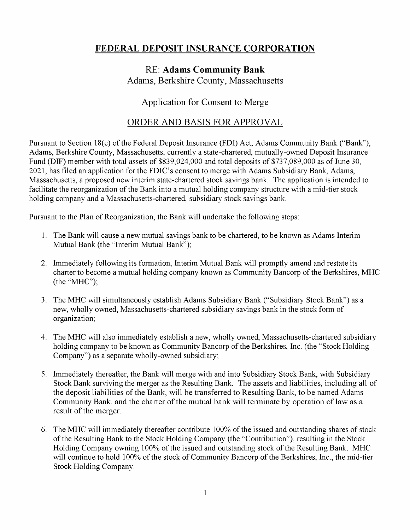# FEDERAL DEPOSIT INSURANCE CORPORATION

## RE: Adams Community Bank Adams, Berkshire County, Massachusetts

### Application for Consent to Merge

#### ORDER AND BASIS FOR APPROVAL

Pursuant to Section 18(c) of the Federal Deposit Insurance (FDI) Act, Adams Community Bank ("Bank"), Adams, Berkshire County, Massachusetts, currently a state -chartered, mutually -owned Deposit Insurance Fund (DIF) member with total assets of \$839,024,000 and total deposits of \$737,089,000 as of June 30, 2021, has filed an application for the FDIC's consent to merge with Adams Subsidiary Bank, Adams, Massachusetts, a proposed new interim state -chartered stock savings bank. The application is intended to facilitate the reorganization of the Bank into a mutual holding company structure with a mid -tier stock holding company and a Massachusetts -chartered, subsidiary stock savings bank.

Pursuant to the Plan of Reorganization, the Bank will undertake the following steps:

- 1. The Bank will cause a new mutual savings bank to be chartered, to be known as Adams Interim Mutual Bank (the "Interim Mutual Bank");
- 2. Immediately following its formation, Interim Mutual Bank will promptly amend and restate its charter to become a mutual holding company known as Community Bancorp of the Berkshires, MHC (the "MHC");
- 3. The MHC will simultaneously establish Adams Subsidiary Bank ("Subsidiary Stock Bank") as a new, wholly owned, Massachusetts -chartered subsidiary savings bank in the stock form of organization;
- 4. The MHC will also immediately establish a new, wholly owned, Massachusetts -chartered subsidiary holding company to be known as Community Bancorp of the Berkshires, Inc. (the "Stock Holding Company") as a separate wholly-owned subsidiary;
- 5. Immediately thereafter, the Bank will merge with and into Subsidiary Stock Bank, with Subsidiary Stock Bank surviving the merger as the Resulting Bank. The assets and liabilities, including all of the deposit liabilities of the Bank, will be transferred to Resulting Bank, to be named Adams Community Bank, and the charter of the mutual bank will terminate by operation of law as a result of the merger.
- 6. The MHC will immediately thereafter contribute 100% of the issued and outstanding shares of stock of the Resulting Bank to the Stock Holding Company (the "Contribution"), resulting in the Stock Holding Company owning 100% of the issued and outstanding stock of the Resulting Bank. MHC will continue to hold 100% of the stock of Community Bancorp of the Berkshires, Inc., the mid-tier Stock Holding Company.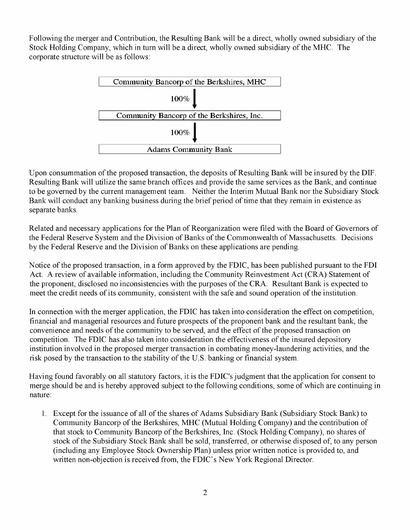Following the merger and Contribution, the Resulting Bank will be a direct, wholly owned subsidiary of the Stock Holding Company, which in turn will be a direct, wholly owned subsidiary of the MHC. The corporate structure will be as follows:



Upon consummation of the proposed transaction, the deposits of Resulting Bank will be insured by the DIF. Resulting Bank will utilize the same branch offices and provide the same services as the Bank, and continue to be governed by the current management team. Neither the Interim Mutual Bank nor the Subsidiary Stock Bank will conduct any banking business during the brief period of time that they remain in existence as separate banks.

Related and necessary applications for the Plan of Reorganization were filed with the Board of Governors of the Federal Reserve System and the Division of Banks of the Commonwealth of Massachusetts. Decisions by the Federal Reserve and the Division of Banks on these applications are pending.

Notice of the proposed transaction, in a form approved by the FDIC, has been published pursuant to the FDI Act. A review of available information, including the Community Reinvestment Act (CRA) Statement of the proponent, disclosed no inconsistencies with the purposes of the CRA. Resultant Bank is expected to meet the credit needs of its community, consistent with the safe and sound operation of the institution.

In connection with the merger application, the FDIC has taken into consideration the effect on competition, financial and managerial resources and future prospects of the proponent bank and the resultant bank, the convenience and needs of the community to be served, and the effect of the proposed transaction on competition. The FDIC has also taken into consideration the effectiveness of the insured depository institution involved in the proposed merger transaction in combating money-laundering activities, and the risk posed by the transaction to the stability of the U.S. banking or financial system.

Having found favorably on all statutory factors, it is the FDIC's judgment that the application for consent to merge should be and is hereby approved subject to the following conditions, some of which are continuing in nature:

1. Except for the issuance of all of the shares of Adams Subsidiary Bank (Subsidiary Stock Bank) to Community Bancorp of the Berkshires, MHC (Mutual Holding Company) and the contribution of that stock to Community Bancorp of the Berkshires, Inc. (Stock Holding Company), no shares of stock of the Subsidiary Stock Bank shall be sold, transferred, or otherwise disposed of, to any person (including any Employee Stock Ownership Plan) unless prior written notice is provided to, and written non-objection is received from, the FDIC's New York Regional Director.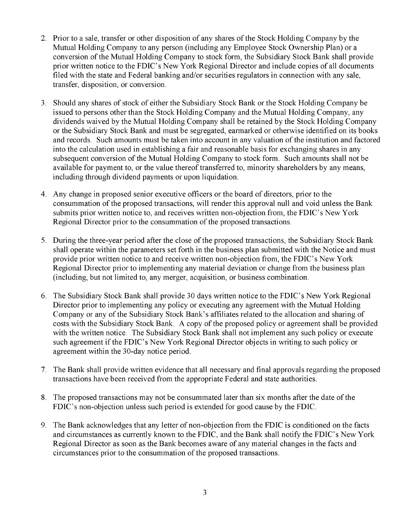- 2. Prior to a sale, transfer or other disposition of any shares of the Stock Holding Company by the Mutual Holding Company to any person (including any Employee Stock Ownership Plan) or a conversion of the Mutual Holding Company to stock form, the Subsidiary Stock Bank shall provide prior written notice to the FDIC's New York Regional Director and include copies of all documents filed with the state and Federal banking and/or securities regulators in connection with any sale, transfer, disposition, or conversion.
- 3. Should any shares of stock of either the Subsidiary Stock Bank or the Stock Holding Company be issued to persons other than the Stock Holding Company and the Mutual Holding Company, any dividends waived by the Mutual Holding Company shall be retained by the Stock Holding Company or the Subsidiary Stock Bank and must be segregated, earmarked or otherwise identified on its books and records. Such amounts must be taken into account in any valuation of the institution and factored into the calculation used in establishing a fair and reasonable basis for exchanging shares in any subsequent conversion of the Mutual Holding Company to stock form. Such amounts shall not be available for payment to, or the value thereof transferred to, minority shareholders by any means, including through dividend payments or upon liquidation.
- 4. Any change in proposed senior executive officers or the board of directors, prior to the consummation of the proposed transactions, will render this approval null and void unless the Bank submits prior written notice to, and receives written non -objection from, the FDIC's New York Regional Director prior to the consummation of the proposed transactions.
- 5. During the three-year period after the close of the proposed transactions, the Subsidiary Stock Bank shall operate within the parameters set forth in the business plan submitted with the Notice and must provide prior written notice to and receive written non -objection from, the FDIC's New York Regional Director prior to implementing any material deviation or change from the business plan (including, but not limited to, any merger, acquisition, or business combination.
- 6. The Subsidiary Stock Bank shall provide 30 days written notice to the FDIC's New York Regional Director prior to implementing any policy or executing any agreement with the Mutual Holding Company or any of the Subsidiary Stock Bank's affiliates related to the allocation and sharing of costs with the Subsidiary Stock Bank. A copy of the proposed policy or agreement shall be provided with the written notice. The Subsidiary Stock Bank shall not implement any such policy or execute such agreement if the FDIC's New York Regional Director objects in writing to such policy or agreement within the 30 -day notice period.
- 7. The Bank shall provide written evidence that all necessary and final approvals regarding the proposed transactions have been received from the appropriate Federal and state authorities.
- 8. The proposed transactions may not be consummated later than six months after the date of the FDIC's non -objection unless such period is extended for good cause by the FDIC.
- 9. The Bank acknowledges that any letter of non -objection from the FDIC is conditioned on the facts and circumstances as currently known to the FDIC, and the Bank shall notify the FDIC's New York Regional Director as soon as the Bank becomes aware of any material changes in the facts and circumstances prior to the consummation of the proposed transactions.